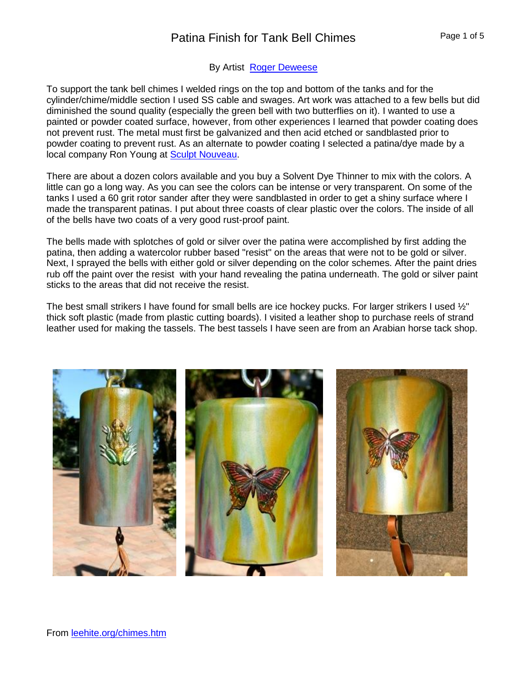#### By Artist [Roger Deweese](mailto:rdeweese@earthlink.net?subject=Patina%20Finish)

To support the tank bell chimes I welded rings on the top and bottom of the tanks and for the cylinder/chime/middle section I used SS cable and swages. Art work was attached to a few bells but did diminished the sound quality (especially the green bell with two butterflies on it). I wanted to use a painted or powder coated surface, however, from other experiences I learned that powder coating does not prevent rust. The metal must first be galvanized and then acid etched or sandblasted prior to powder coating to prevent rust. As an alternate to powder coating I selected a patina/dye made by a local company Ron Young at [Sculpt Nouveau.](http://www.sculptnouveau.com/index.cfm)

There are about a dozen colors available and you buy a Solvent Dye Thinner to mix with the colors. A little can go a long way. As you can see the colors can be intense or very transparent. On some of the tanks I used a 60 grit rotor sander after they were sandblasted in order to get a shiny surface where I made the transparent patinas. I put about three coasts of clear plastic over the colors. The inside of all of the bells have two coats of a very good rust-proof paint.

The bells made with splotches of gold or silver over the patina were accomplished by first adding the patina, then adding a watercolor rubber based "resist" on the areas that were not to be gold or silver. Next, I sprayed the bells with either gold or silver depending on the color schemes. After the paint dries rub off the paint over the resist with your hand revealing the patina underneath. The gold or silver paint sticks to the areas that did not receive the resist.

The best small strikers I have found for small bells are ice hockey pucks. For larger strikers I used 1/2" thick soft plastic (made from plastic cutting boards). I visited a leather shop to purchase reels of strand leather used for making the tassels. The best tassels I have seen are from an Arabian horse tack shop.

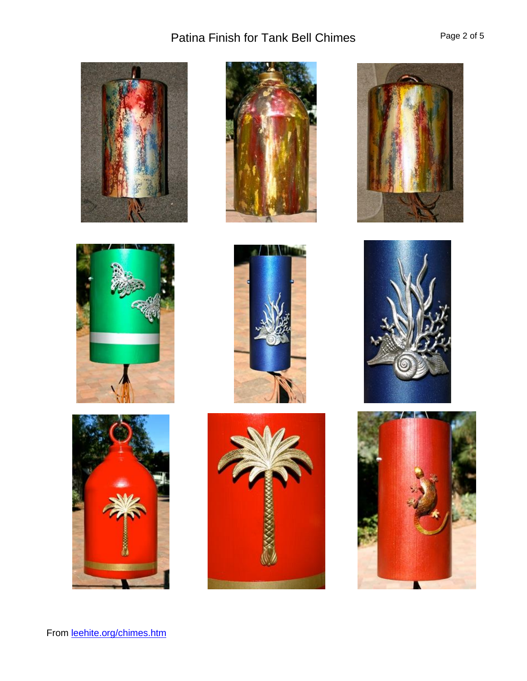

















From [leehite.org/chimes.htm](http://leehite.org/chimes.htm)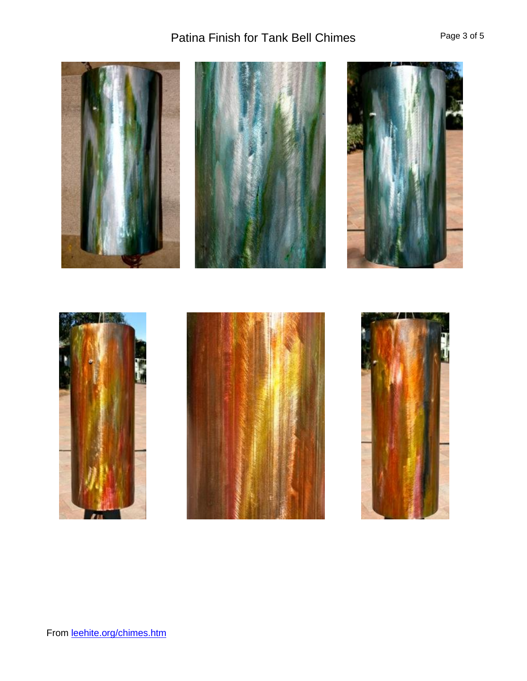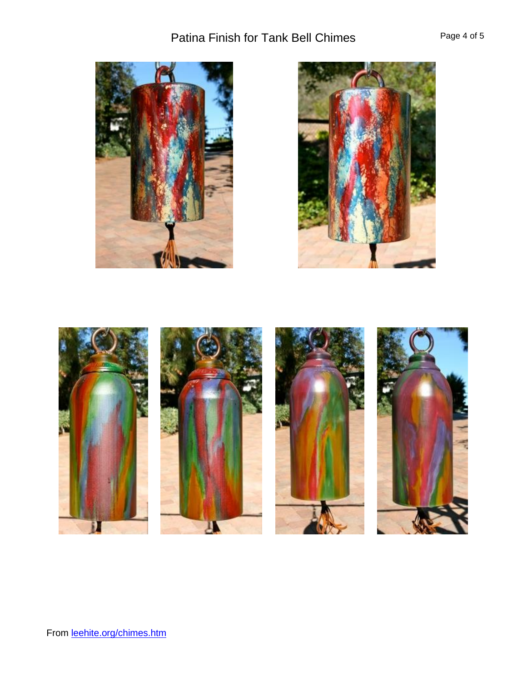